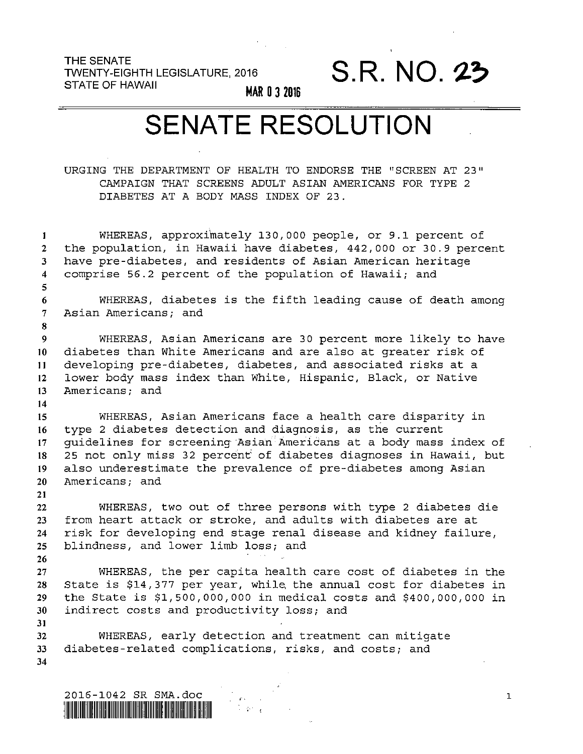THE SENATE<br>TWENTY-EIGHTH LEGISLATURE, 2016 **S.R. NO. 23** STATE OF HAWAII TWENTY-EIGHTH LEGISLATURE, 2016

**MAR 0 3 2016** 

## SENATE RESOLUTION

URGING THE DEPARTMENT OF HEALTH TO ENDORSE THE "SCREEN AT 23" CAMPAIGN THAT SCREENS ADULT ASIAN AMERICANS FOR TYPE 2 DIABETES AT A BODY MASS INDEX OF 23.

**1 2**  *3*  **4 5 6 7 8**  9 **10 11 12 13 14 15 16 17 18 19 20 21 22 23 24 25 26 27 28 29 30 31 32 33 34**  WHEREAS, approximately 130,000 people, or 9.1 percent of the population, in Hawaii have diabetes, 442,000 or 30.9 percent have pre-diabetes, and residents of Asian American heritage comprise 56.2 percent of the population of Hawaii; and WHEREAS, diabetes is the fifth leading cause of death among Asian Americans; and WHEREAS, Asian Americans are 30 percent more likely to have diabetes than White Americans and are also at greater risk of developing pre-diabetes, diabetes, and associated risks at a lower body mass index than White, Hispanic, Black, or Native Americans; and WHEREAS, Asian Americans face a health care disparity in type 2 diabetes detection and diagnosis, **as** the current guidelines for screening Asian Americans at a body mass index of 25 not only miss 32 percent' of diabetes diagnoses in Hawaii, but also underestimate the prevalence of pre-diabetes among Asian Americans; and WHEREAS, two out of three persons with type 2 diabetes die from heart attack or stroke, and adults with diabetes are at risk for developing end stage renal disease and kidney failure, blindness, and lower limb loss; and WHEREAS, the per capita health care cost of diabetes in the State is \$14,377 per year, while. the annual cost for diabetes in the State is \$1,500,000,000 in medical costs and \$400,000,000 in indirect costs and productivity **loss;** and WHEREAS, early detection and treatment can mitigate diabetes-related complications, risks, and costs; and

t an L

**1**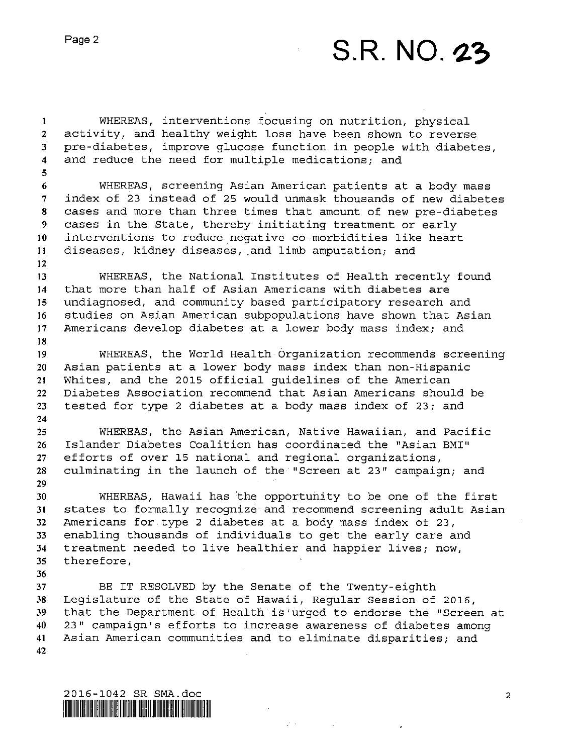## Page 2 **S.R. NO. 23**

**1 2 3 4 5 6 7 8 9 IO 11 12 13 14 15 16 17 18 19 20 21 22 23 24 25 26 27 28 29 30 31 32 33 34 35 36 37 38 39 40 41 42**  WHEREAS, interventions focusing on nutrition, physical activity, and healthy weight loss have been shown to reverse pre-diabetes, improve glucose function in people with diabetes, and reduce the need for multiple medications; and WHEREAS, screening Asian American patients at a body mass index of **23** instead of **25** would unmask thousands of new diabetes cases and more than three times that amount of new pre-diabetes cases in the State, thereby initiating treatment or early interventions to reduce negative co-morbidities like heart diseases, kidney diseases, and limb amputation; and WHEREAS, the National Institutes of Health recently found that more than half of Asian Americans with diabetes are undiagnosed, and community based participatory research and studies on Asian American subpopulations have shown that Asian Americans develop diabetes at a lower body mass index; and WHEREAS, the World Health Organization recommends screening Asian patients at a lower body mass index than non-Hispanic Whites, and the **2015** official guidelines of the American Diabetes Association recommend that Asian Americans should be tested for type **2** diabetes at a body mass index of **23;** and WHEREAS, the Asian American, Native Hawaiian, and Pacific Islander Diabetes Coalition has coordinated the "Asian **BMI"**  efforts of over **15** national and regional organizations, culminating in the launch of the "Screen at **23"** campaign; and WHEREAS, Hawaii has the opportunity to be one of the first states to formally recognize and recommend screening adult Asian Americans for type **2** diabetes at a body mass index of **23,**  enabling thousands of individuals to get the early care and treatment needed to live healthier and happier lives; now, therefore, BE IT RESOLVED by the Senate of the Twenty-eighth Legislature of the State of Hawaii, Regular Session of **2016,**  that the Department of Health is urged to endorse the "Screen at **23"** campaign's efforts to increase awareness of diabetes among Asian American communities and to eliminate disparities; and

 $\sim 10^{-1}$ 

2016-1042 SR SMA.doc<br>|**||||||||||||||||||||||||||||||||**